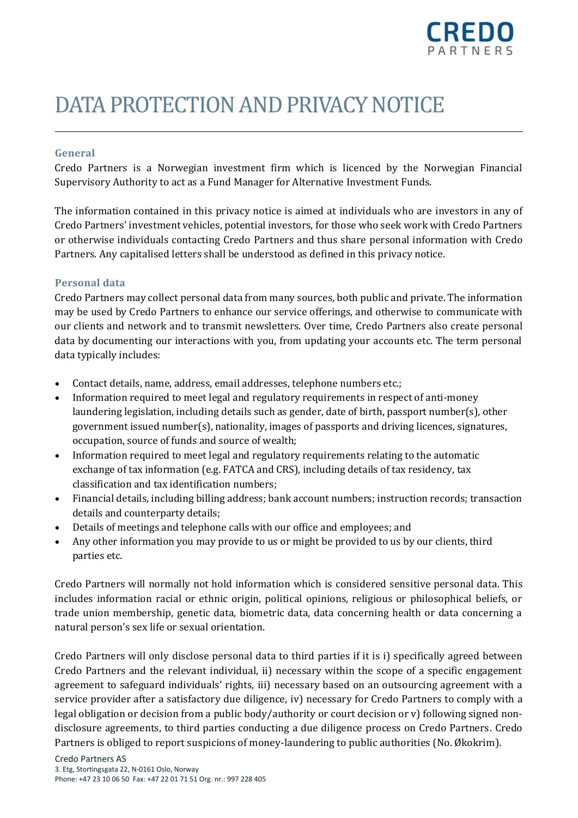

# DATA PROTECTIONAND PRIVACY NOTICE

# **General**

Credo Partners is a Norwegian investment firm which is licenced by the Norwegian Financial Supervisory Authority to act as a Fund Manager for Alternative Investment Funds.

The information contained in this privacy notice is aimed at individuals who are investors in any of Credo Partners' investment vehicles, potential investors, for those who seek work with Credo Partners or otherwise individuals contacting Credo Partners and thus share personal information with Credo Partners. Any capitalised letters shall be understood as defined in this privacy notice.

## **Personal data**

Credo Partners may collect personal data from many sources, both public and private. The information may be used by Credo Partners to enhance our service offerings, and otherwise to communicate with our clients and network and to transmit newsletters. Over time, Credo Partners also create personal data by documenting our interactions with you, from updating your accounts etc. The term personal data typically includes:

- Contact details, name, address, email addresses, telephone numbers etc.;
- Information required to meet legal and regulatory requirements in respect of anti-money laundering legislation, including details such as gender, date of birth, passport number(s), other government issued number(s), nationality, images of passports and driving licences, signatures, occupation, source of funds and source of wealth;
- Information required to meet legal and regulatory requirements relating to the automatic exchange of tax information (e.g. FATCA and CRS), including details of tax residency, tax classification and tax identification numbers;
- Financial details, including billing address; bank account numbers; instruction records; transaction details and counterparty details;
- Details of meetings and telephone calls with our office and employees; and
- Any other information you may provide to us or might be provided to us by our clients, third parties etc.

Credo Partners will normally not hold information which is considered sensitive personal data. This includes information racial or ethnic origin, political opinions, religious or philosophical beliefs, or trade union membership, genetic data, biometric data, data concerning health or data concerning a natural person's sex life or sexual orientation.

Credo Partners will only disclose personal data to third parties if it is i) specifically agreed between Credo Partners and the relevant individual, ii) necessary within the scope of a specific engagement agreement to safeguard individuals' rights, iii) necessary based on an outsourcing agreement with a service provider after a satisfactory due diligence, iv) necessary for Credo Partners to comply with a legal obligation or decision from a public body/authority or court decision or v) following signed nondisclosure agreements, to third parties conducting a due diligence process on Credo Partners. Credo Partners is obliged to report suspicions of money-laundering to public authorities (No. Økokrim).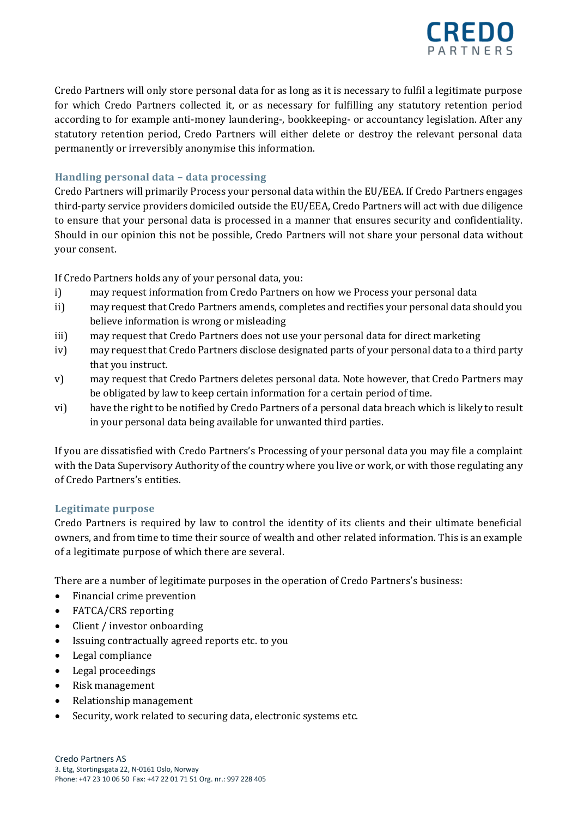

Credo Partners will only store personal data for as long as it is necessary to fulfil a legitimate purpose for which Credo Partners collected it, or as necessary for fulfilling any statutory retention period according to for example anti-money laundering-, bookkeeping- or accountancy legislation. After any statutory retention period, Credo Partners will either delete or destroy the relevant personal data permanently or irreversibly anonymise this information.

# **Handling personal data – data processing**

Credo Partners will primarily Process your personal data within the EU/EEA. If Credo Partners engages third-party service providers domiciled outside the EU/EEA, Credo Partners will act with due diligence to ensure that your personal data is processed in a manner that ensures security and confidentiality. Should in our opinion this not be possible, Credo Partners will not share your personal data without your consent.

If Credo Partners holds any of your personal data, you:

- i) may request information from Credo Partners on how we Process your personal data
- ii) may request that Credo Partners amends, completes and rectifies your personal data should you believe information is wrong or misleading
- iii) may request that Credo Partners does not use your personal data for direct marketing
- iv) may request that Credo Partners disclose designated parts of your personal data to a third party that you instruct.
- v) may request that Credo Partners deletes personal data. Note however, that Credo Partners may be obligated by law to keep certain information for a certain period of time.
- vi) have the right to be notified by Credo Partners of a personal data breach which is likely to result in your personal data being available for unwanted third parties.

If you are dissatisfied with Credo Partners's Processing of your personal data you may file a complaint with the Data Supervisory Authority of the country where you live or work, or with those regulating any of Credo Partners's entities.

## **Legitimate purpose**

Credo Partners is required by law to control the identity of its clients and their ultimate beneficial owners, and from time to time their source of wealth and other related information. This is an example of a legitimate purpose of which there are several.

There are a number of legitimate purposes in the operation of Credo Partners's business:

- Financial crime prevention
- FATCA/CRS reporting
- Client / investor onboarding
- Issuing contractually agreed reports etc. to you
- Legal compliance
- Legal proceedings
- Risk management
- Relationship management
- Security, work related to securing data, electronic systems etc.